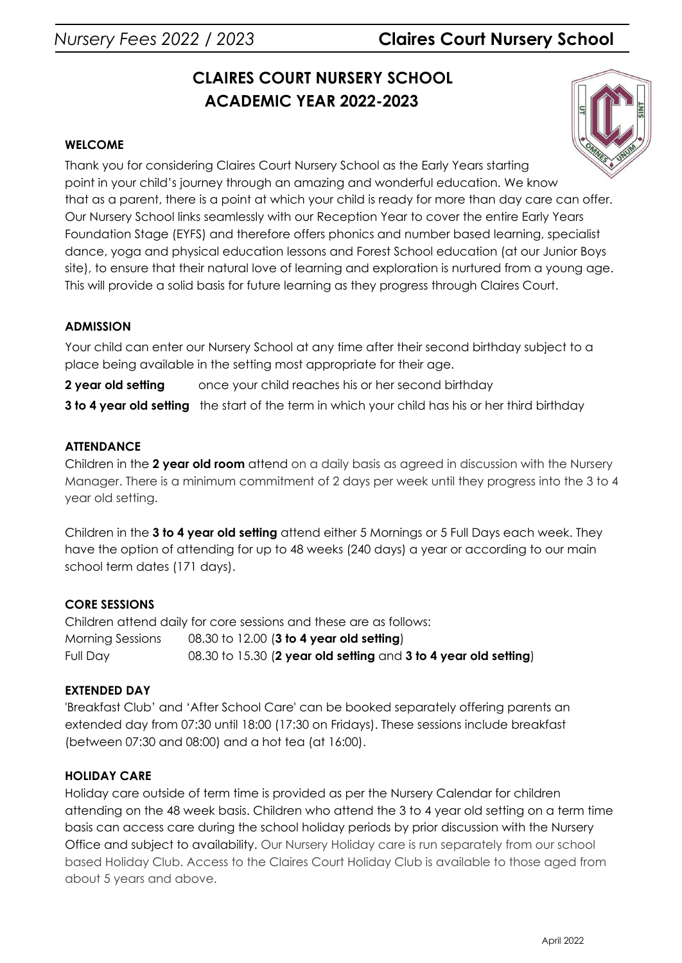# *Nursery Fees 2022 / 2023* **Claires Court Nursery School**

# **CLAIRES COURT NURSERY SCHOOL ACADEMIC YEAR 2022-2023**

# **WELCOME**

Thank you for considering Claires Court Nursery School as the Early Years starting point in your child's journey through an amazing and wonderful education. We know that as a parent, there is a point at which your child is ready for more than day care can offer. Our Nursery School links seamlessly with our Reception Year to cover the entire Early Years Foundation Stage (EYFS) and therefore offers phonics and number based learning, specialist dance, yoga and physical education lessons and Forest School education (at our Junior Boys site), to ensure that their natural love of learning and exploration is nurtured from a young age. This will provide a solid basis for future learning as they progress through Claires Court.

# **ADMISSION**

Your child can enter our Nursery School at any time after their second birthday subject to a place being available in the setting most appropriate for their age.

**2 year old setting** once your child reaches his or her second birthday

**3 to 4 year old setting** the start of the term in which your child has his or her third birthday

# **ATTENDANCE**

Children in the **2 year old room** attend on a daily basis as agreed in discussion with the Nursery Manager. There is a minimum commitment of 2 days per week until they progress into the 3 to 4 year old setting.

Children in the **3 to 4 year old setting** attend either 5 Mornings or 5 Full Days each week. They have the option of attending for up to 48 weeks (240 days) a year or according to our main school term dates (171 days).

# **CORE SESSIONS**

Children attend daily for core sessions and these are as follows: Morning Sessions 08.30 to 12.00 (**3 to 4 year old setting**) Full Day 08.30 to 15.30 (**2 year old setting** and **3 to 4 year old setting**)

# **EXTENDED DAY**

'Breakfast Club' and 'After School Care' can be booked separately offering parents an extended day from 07:30 until 18:00 (17:30 on Fridays). These sessions include breakfast (between 07:30 and 08:00) and a hot tea (at 16:00).

# **HOLIDAY CARE**

Holiday care outside of term time is provided as per the Nursery Calendar for children attending on the 48 week basis. Children who attend the 3 to 4 year old setting on a term time basis can access care during the school holiday periods by prior discussion with the Nursery Office and subject to availability. Our Nursery Holiday care is run separately from our school based Holiday Club. Access to the Claires Court Holiday Club is available to those aged from about 5 years and above.

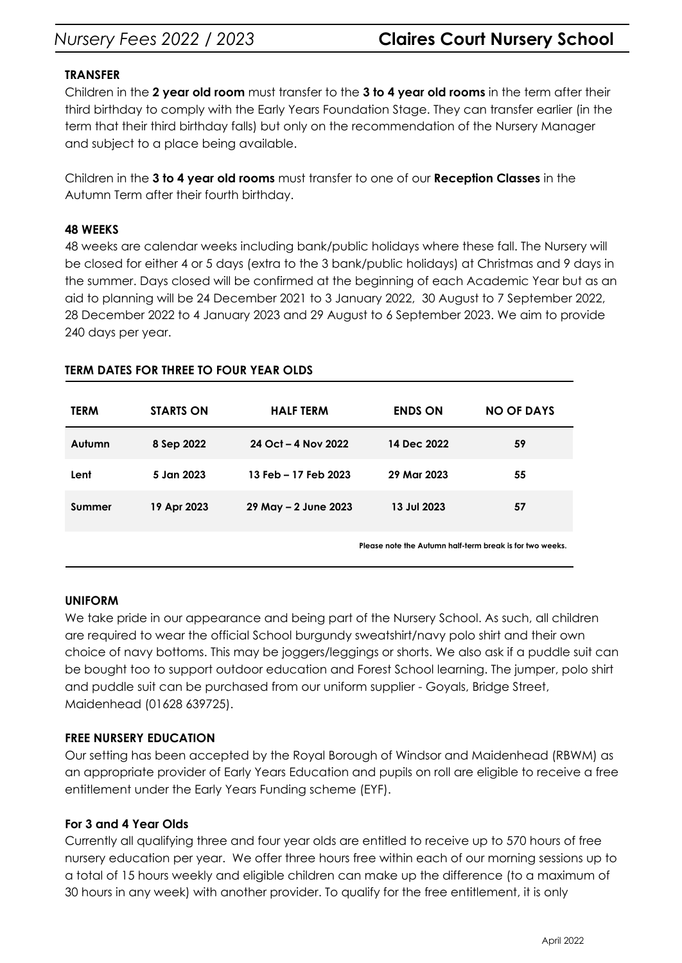# *Nursery Fees 2022 / 2023* **Claires Court Nursery School**

### **TRANSFER**

Children in the **2 year old room** must transfer to the **3 to 4 year old rooms** in the term after their third birthday to comply with the Early Years Foundation Stage. They can transfer earlier (in the term that their third birthday falls) but only on the recommendation of the Nursery Manager and subject to a place being available.

Children in the **3 to 4 year old rooms** must transfer to one of our **Reception Classes** in the Autumn Term after their fourth birthday.

#### **48 WEEKS**

48 weeks are calendar weeks including bank/public holidays where these fall. The Nursery will be closed for either 4 or 5 days (extra to the 3 bank/public holidays) at Christmas and 9 days in the summer. Days closed will be confirmed at the beginning of each Academic Year but as an aid to planning will be 24 December 2021 to 3 January 2022, 30 August to 7 September 2022, 28 December 2022 to 4 January 2023 and 29 August to 6 September 2023. We aim to provide 240 days per year.

| <b>TERM</b> | <b>STARTS ON</b> | <b>HALF TERM</b>     | <b>ENDS ON</b>                                           | <b>NO OF DAYS</b> |
|-------------|------------------|----------------------|----------------------------------------------------------|-------------------|
| Autumn      | 8 Sep 2022       | 24 Oct - 4 Nov 2022  | 14 Dec 2022                                              | 59                |
| Lent        | 5 Jan 2023       | 13 Feb - 17 Feb 2023 | 29 Mar 2023                                              | 55                |
| Summer      | 19 Apr 2023      | 29 May - 2 June 2023 | 13 Jul 2023                                              | 57                |
|             |                  |                      | Please note the Autumn half-term break is for two weeks. |                   |

#### **TERM DATES FOR THREE TO FOUR YEAR OLDS**

#### **UNIFORM**

We take pride in our appearance and being part of the Nursery School. As such, all children are required to wear the official School burgundy sweatshirt/navy polo shirt and their own choice of navy bottoms. This may be joggers/leggings or shorts. We also ask if a puddle suit can be bought too to support outdoor education and Forest School learning. The jumper, polo shirt and puddle suit can be purchased from our uniform supplier - Goyals, Bridge Street, Maidenhead (01628 639725).

# **FREE NURSERY EDUCATION**

Our setting has been accepted by the Royal Borough of Windsor and Maidenhead (RBWM) as an appropriate provider of Early Years Education and pupils on roll are eligible to receive a free entitlement under the Early Years Funding scheme (EYF).

#### **For 3 and 4 Year Olds**

Currently all qualifying three and four year olds are entitled to receive up to 570 hours of free nursery education per year. We offer three hours free within each of our morning sessions up to a total of 15 hours weekly and eligible children can make up the difference (to a maximum of 30 hours in any week) with another provider. To qualify for the free entitlement, it is only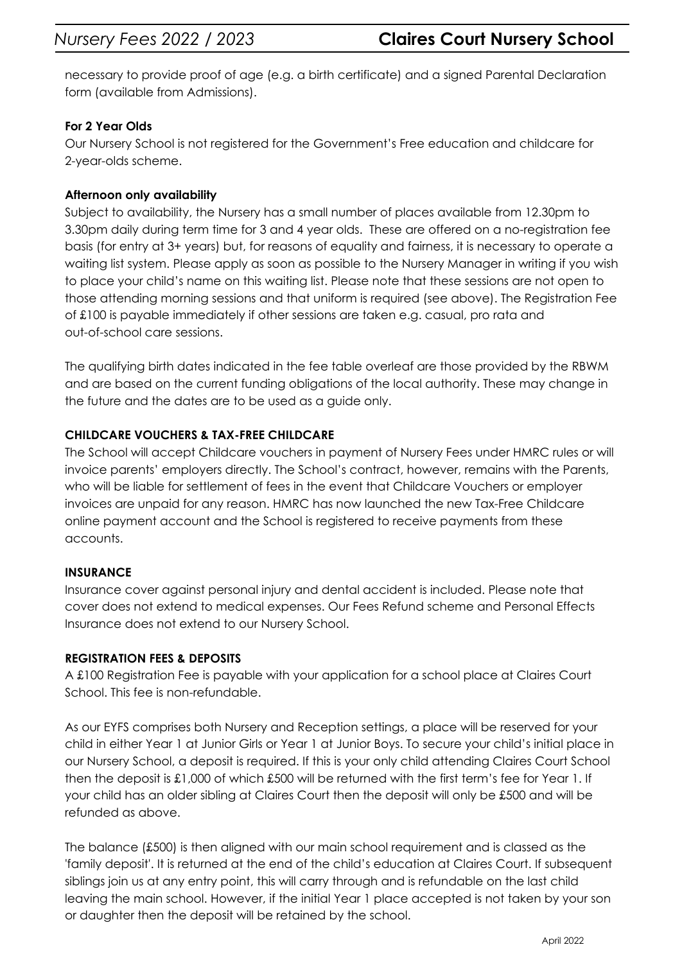necessary to provide proof of age (e.g. a birth certificate) and a signed Parental Declaration form (available from Admissions).

# **For 2 Year Olds**

Our Nursery School is not registered for the Government's Free education and childcare for 2-year-olds scheme.

# **Afternoon only availability**

Subject to availability, the Nursery has a small number of places available from 12.30pm to 3.30pm daily during term time for 3 and 4 year olds. These are offered on a no-registration fee basis (for entry at 3+ years) but, for reasons of equality and fairness, it is necessary to operate a waiting list system. Please apply as soon as possible to the Nursery Manager in writing if you wish to place your child's name on this waiting list. Please note that these sessions are not open to those attending morning sessions and that uniform is required (see above). The Registration Fee of £100 is payable immediately if other sessions are taken e.g. casual, pro rata and out-of-school care sessions.

The qualifying birth dates indicated in the fee table overleaf are those provided by the RBWM and are based on the current funding obligations of the local authority. These may change in the future and the dates are to be used as a guide only.

# **CHILDCARE VOUCHERS & TAX-FREE CHILDCARE**

The School will accept Childcare vouchers in payment of Nursery Fees under HMRC rules or will invoice parents' employers directly. The School's contract, however, remains with the Parents, who will be liable for settlement of fees in the event that Childcare Vouchers or employer invoices are unpaid for any reason. HMRC has now launched the new Tax-Free Childcare online payment account and the School is registered to receive payments from these accounts.

# **INSURANCE**

Insurance cover against personal injury and dental accident is included. Please note that cover does not extend to medical expenses. Our Fees Refund scheme and Personal Effects Insurance does not extend to our Nursery School.

# **REGISTRATION FEES & DEPOSITS**

A £100 Registration Fee is payable with your application for a school place at Claires Court School. This fee is non-refundable.

As our EYFS comprises both Nursery and Reception settings, a place will be reserved for your child in either Year 1 at Junior Girls or Year 1 at Junior Boys. To secure your child's initial place in our Nursery School, a deposit is required. If this is your only child attending Claires Court School then the deposit is £1,000 of which £500 will be returned with the first term's fee for Year 1. If your child has an older sibling at Claires Court then the deposit will only be £500 and will be refunded as above.

The balance (£500) is then aligned with our main school requirement and is classed as the 'family deposit'. It is returned at the end of the child's education at Claires Court. If subsequent siblings join us at any entry point, this will carry through and is refundable on the last child leaving the main school. However, if the initial Year 1 place accepted is not taken by your son or daughter then the deposit will be retained by the school.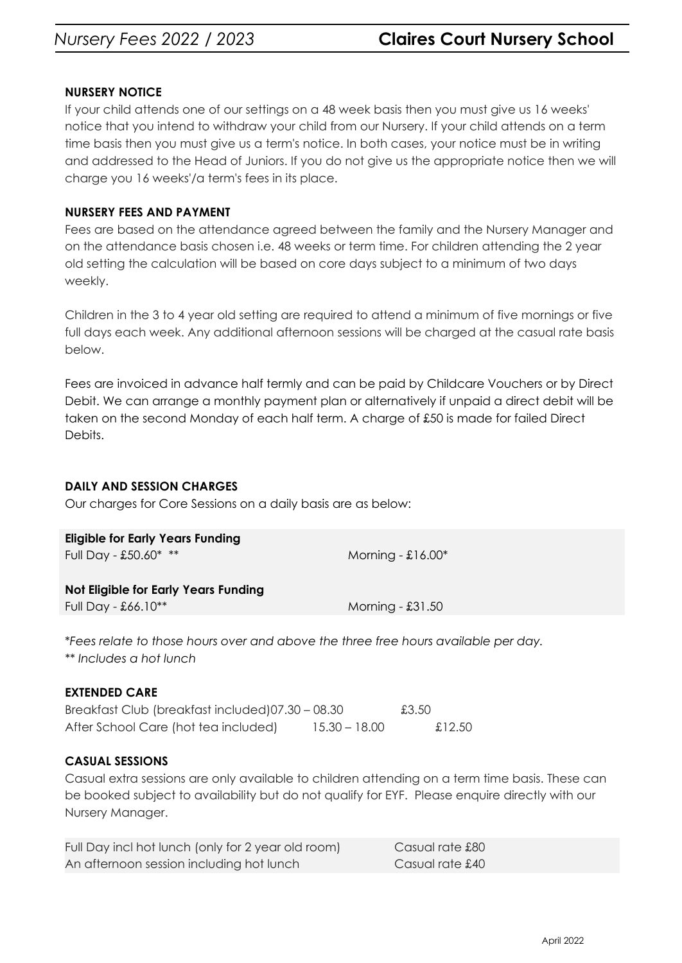# **NURSERY NOTICE**

If your child attends one of our settings on a 48 week basis then you must give us 16 weeks' notice that you intend to withdraw your child from our Nursery. If your child attends on a term time basis then you must give us a term's notice. In both cases, your notice must be in writing and addressed to the Head of Juniors. If you do not give us the appropriate notice then we will charge you 16 weeks'/a term's fees in its place.

## **NURSERY FEES AND PAYMENT**

Fees are based on the attendance agreed between the family and the Nursery Manager and on the attendance basis chosen i.e. 48 weeks or term time. For children attending the 2 year old setting the calculation will be based on core days subject to a minimum of two days weekly.

Children in the 3 to 4 year old setting are required to attend a minimum of five mornings or five full days each week. Any additional afternoon sessions will be charged at the casual rate basis below.

Fees are invoiced in advance half termly and can be paid by Childcare Vouchers or by [Direct](http://www.clairescourt.com/_site/data/files/documents/admissions/fees/Direct_Debit_Form2016.pdf) [Debit](http://www.clairescourt.com/_site/data/files/documents/admissions/fees/Direct_Debit_Form2016.pdf). We can arrange a monthly payment plan or alternatively if unpaid a direct debit will be taken on the second Monday of each half term. A charge of £50 is made for failed Direct Debits.

# **DAILY AND SESSION CHARGES**

Our charges for Core Sessions on a daily basis are as below:

| Not Eligible for Early Years Funding<br>Full Day - $£66.10**$ |  |
|---------------------------------------------------------------|--|
|                                                               |  |

\**Fees relate to those hours over and above the three free hours available per day. \*\* Includes a hot lunch*

# **EXTENDED CARE**

| Breakfast Club (breakfast included)07.30 - 08.30 |               | £3.50  |
|--------------------------------------------------|---------------|--------|
| After School Care (hot tea included)             | 15.30 – 18.00 | £12.50 |

# **CASUAL SESSIONS**

Casual extra sessions are only available to children attending on a term time basis. These can be booked subject to availability but do not qualify for EYF. Please enquire directly with our Nursery Manager.

| Full Day incl hot lunch (only for 2 year old room) | Casual rate £80 |
|----------------------------------------------------|-----------------|
| An afternoon session including hot lunch           | Casual rate £40 |